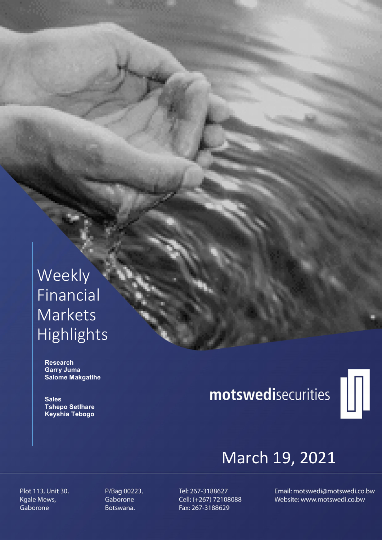# Weekly Financial Markets Highlights

 Research Garry Juma Salome Makgatlhe

**Sales**  Tshepo Setlhare Keyshia Tebogo

# motswedisecurities



# March 19, 2021

Plot 113, Unit 30, Kgale Mews, Gaborone

P/Bag 00223, Gaborone Botswana.

Tel: 267-3188627 Cell: (+267) 72108088 Fax: 267-3188629

Email: motswedi@motswedi.co.bw Website: www.motswedi.co.bw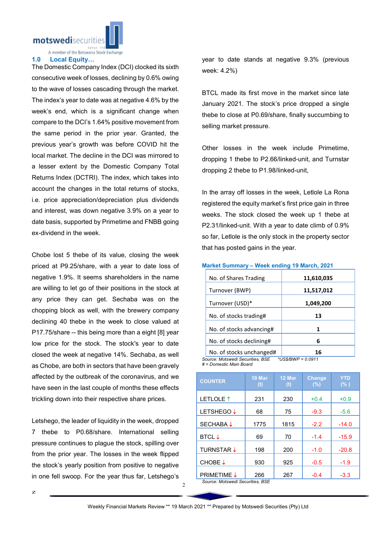motswedisecuritie

A member of the Botswana Stock Exchange

### 1.0 Local Equity…

The Domestic Company Index (DCI) clocked its sixth consecutive week of losses, declining by 0.6% owing to the wave of losses cascading through the market. The index's year to date was at negative 4.6% by the week's end, which is a significant change when compare to the DCI's 1.64% positive movement from the same period in the prior year. Granted, the previous year's growth was before COVID hit the local market. The decline in the DCI was mirrored to a lesser extent by the Domestic Company Total Returns Index (DCTRI). The index, which takes into account the changes in the total returns of stocks, i.e. price appreciation/depreciation plus dividends and interest, was down negative 3.9% on a year to date basis, supported by Primetime and FNBB going ex-dividend in the week.

Chobe lost 5 thebe of its value, closing the week priced at P9.25/share, with a year to date loss of negative 1.9%. It seems shareholders in the name are willing to let go of their positions in the stock at any price they can get. Sechaba was on the chopping block as well, with the brewery company declining 40 thebe in the week to close valued at P17.75/share -- this being more than a eight [8] year low price for the stock. The stock's year to date closed the week at negative 14%. Sechaba, as well as Chobe, are both in sectors that have been gravely affected by the outbreak of the coronavirus, and we have seen in the last couple of months these effects trickling down into their respective share prices.

Letshego, the leader of liquidity in the week, dropped 7 thebe to P0.68/share. International selling pressure continues to plague the stock, spilling over from the prior year. The losses in the week flipped the stock's yearly position from positive to negative in one fell swoop. For the year thus far, Letshego's year to date stands at negative 9.3% (previous week: 4.2%)

BTCL made its first move in the market since late January 2021. The stock's price dropped a single thebe to close at P0.69/share, finally succumbing to selling market pressure.

Other losses in the week include Primetime, dropping 1 thebe to P2.66/linked-unit, and Turnstar dropping 2 thebe to P1.98/linked-unit,

In the array off losses in the week, Letlole La Rona registered the equity market's first price gain in three weeks. The stock closed the week up 1 thebe at P2.31/linked-unit. With a year to date climb of 0.9% so far, Letlole is the only stock in the property sector that has posted gains in the year.

## Market Summary – Week ending 19 March, 2021

| No. of Shares Trading            | 11,610,035            |
|----------------------------------|-----------------------|
| Turnover (BWP)                   | 11,517,012            |
| Turnover (USD)*                  | 1,049,200             |
| No. of stocks trading#           | 13                    |
| No. of stocks advancing#         | 1                     |
| No. of stocks declining#         | 6                     |
| No. of stocks unchanged#         | 16                    |
| Source: Motewadi Sacuritiae, RSE | *LIS C/RIA/D = 0.0011 |

*Source: Motswedi Securities, BSE \*US\$/BWP = 0.0911 # = Domestic Main Board*

| <b>COUNTER</b>       | 19 Mar<br>(t) | 12 Mar<br>(t) | <b>Change</b><br>(%) | <b>YTD</b><br>(% ) |
|----------------------|---------------|---------------|----------------------|--------------------|
| LETLOLE <sup>1</sup> | 231           | 230           | $+0.4$               | $+0.9$             |
| <b>LETSHEGO↓</b>     | 68            | 75            | $-9.3$               | $-5.6$             |
| <b>SECHABA↓</b>      | 1775          | 1815          | $-2.2$               | $-14.0$            |
| <b>BTCL</b> ↓        | 69            | 70            | $-1.4$               | $-15.9$            |
| <b>TURNSTAR ↓</b>    | 198           | 200           | $-1.0$               | $-20.8$            |
| CHOBE↓               | 930           | 925           | $-0.5$               | $-1.9$             |
| <b>PRIMETIME ↓</b>   | 266           | 267           | $-0.4$               | $-3.3$             |

*Source: Motswedi Securities, BSE*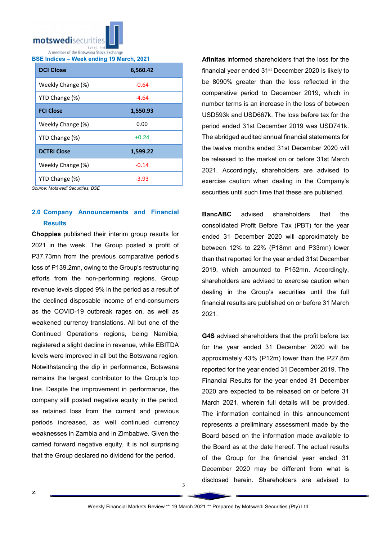

BSE Indices – Week ending 19 March, 2021

| <b>DCI Close</b>   | 6,560.42 |  |  |
|--------------------|----------|--|--|
| Weekly Change (%)  | $-0.64$  |  |  |
| YTD Change (%)     | -4.64    |  |  |
| <b>FCI Close</b>   | 1,550.93 |  |  |
| Weekly Change (%)  | 0.00     |  |  |
| YTD Change (%)     | $+0.24$  |  |  |
| <b>DCTRI Close</b> | 1,599.22 |  |  |
| Weekly Change (%)  | $-0.14$  |  |  |
| YTD Change (%)     | -3.93    |  |  |

*Source: Motswedi Securities, BSE*

# 2.0 Company Announcements and Financial **Results**

Choppies published their interim group results for 2021 in the week. The Group posted a profit of P37.73mn from the previous comparative period's loss of P139.2mn, owing to the Group's restructuring efforts from the non-performing regions. Group revenue levels dipped 9% in the period as a result of the declined disposable income of end-consumers as the COVID-19 outbreak rages on, as well as weakened currency translations. All but one of the Continued Operations regions, being Namibia, registered a slight decline in revenue, while EBITDA levels were improved in all but the Botswana region. Notwithstanding the dip in performance, Botswana remains the largest contributor to the Group's top line. Despite the improvement in performance, the company still posted negative equity in the period, as retained loss from the current and previous periods increased, as well continued currency weaknesses in Zambia and in Zimbabwe. Given the carried forward negative equity, it is not surprising that the Group declared no dividend for the period.

Afinitas informed shareholders that the loss for the financial year ended 31<sup>st</sup> December 2020 is likely to be 8090% greater than the loss reflected in the comparative period to December 2019, which in number terms is an increase in the loss of between USD593k and USD667k. The loss before tax for the period ended 31st December 2019 was USD741k. The abridged audited annual financial statements for the twelve months ended 31st December 2020 will be released to the market on or before 31st March 2021. Accordingly, shareholders are advised to exercise caution when dealing in the Company's securities until such time that these are published.

BancABC advised shareholders that the consolidated Profit Before Tax (PBT) for the year ended 31 December 2020 will approximately be between 12% to 22% (P18mn and P33mn) lower than that reported for the year ended 31st December 2019, which amounted to P152mn. Accordingly, shareholders are advised to exercise caution when dealing in the Group's securities until the full financial results are published on or before 31 March 2021.

G4S advised shareholders that the profit before tax for the year ended 31 December 2020 will be approximately 43% (P12m) lower than the P27.8m reported for the year ended 31 December 2019. The Financial Results for the year ended 31 December 2020 are expected to be released on or before 31 March 2021, wherein full details will be provided. The information contained in this announcement represents a preliminary assessment made by the Board based on the information made available to the Board as at the date hereof. The actual results of the Group for the financial year ended 31 December 2020 may be different from what is disclosed herein. Shareholders are advised to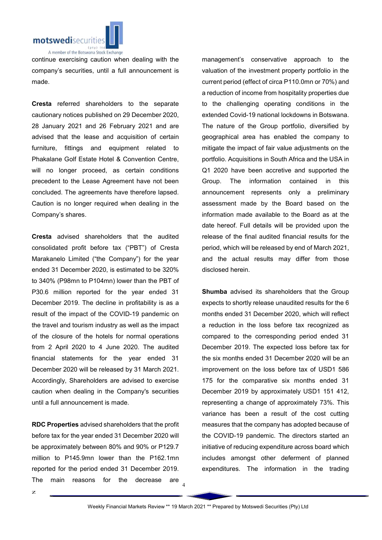

continue exercising caution when dealing with the company's securities, until a full announcement is made.

Cresta referred shareholders to the separate cautionary notices published on 29 December 2020, 28 January 2021 and 26 February 2021 and are advised that the lease and acquisition of certain furniture, fittings and equipment related to Phakalane Golf Estate Hotel & Convention Centre, will no longer proceed, as certain conditions precedent to the Lease Agreement have not been concluded. The agreements have therefore lapsed. Caution is no longer required when dealing in the Company's shares.

Cresta advised shareholders that the audited consolidated profit before tax ("PBT") of Cresta Marakanelo Limited ("the Company") for the year ended 31 December 2020, is estimated to be 320% to 340% (P98mn to P104mn) lower than the PBT of P30.6 million reported for the year ended 31 December 2019. The decline in profitability is as a result of the impact of the COVID-19 pandemic on the travel and tourism industry as well as the impact of the closure of the hotels for normal operations from 2 April 2020 to 4 June 2020. The audited financial statements for the year ended 31 December 2020 will be released by 31 March 2021. Accordingly, Shareholders are advised to exercise caution when dealing in the Company's securities until a full announcement is made.

RDC Properties advised shareholders that the profit before tax for the year ended 31 December 2020 will be approximately between 80% and 90% or P129.7 million to P145.9mn lower than the P162.1mn reported for the period ended 31 December 2019. The main reasons for the decrease are

management's conservative approach to the valuation of the investment property portfolio in the current period (effect of circa P110.0mn or 70%) and a reduction of income from hospitality properties due to the challenging operating conditions in the extended Covid-19 national lockdowns in Botswana. The nature of the Group portfolio, diversified by geographical area has enabled the company to mitigate the impact of fair value adjustments on the portfolio. Acquisitions in South Africa and the USA in Q1 2020 have been accretive and supported the Group. The information contained in this announcement represents only a preliminary assessment made by the Board based on the information made available to the Board as at the date hereof. Full details will be provided upon the release of the final audited financial results for the period, which will be released by end of March 2021, and the actual results may differ from those disclosed herein.

Shumba advised its shareholders that the Group expects to shortly release unaudited results for the 6 months ended 31 December 2020, which will reflect a reduction in the loss before tax recognized as compared to the corresponding period ended 31 December 2019. The expected loss before tax for the six months ended 31 December 2020 will be an improvement on the loss before tax of USD1 586 175 for the comparative six months ended 31 December 2019 by approximately USD1 151 412, representing a change of approximately 73%. This variance has been a result of the cost cutting measures that the company has adopted because of the COVID-19 pandemic. The directors started an initiative of reducing expenditure across board which includes amongst other deferment of planned expenditures. The information in the trading

4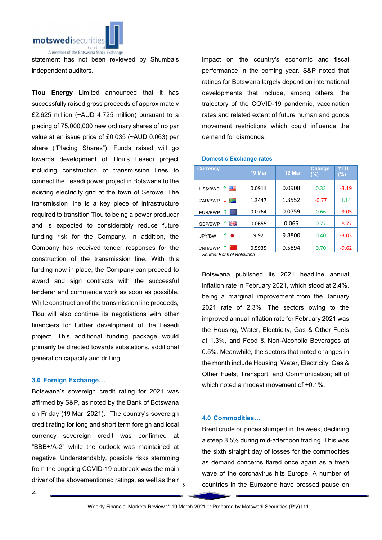

statement has not been reviewed by Shumba's independent auditors.

Tlou Energy Limited announced that it has successfully raised gross proceeds of approximately £2.625 million (~AUD 4.725 million) pursuant to a placing of 75,000,000 new ordinary shares of no par value at an issue price of £0.035 (~AUD 0.063) per share ("Placing Shares"). Funds raised will go towards development of Tlou's Lesedi project including construction of transmission lines to connect the Lesedi power project in Botswana to the existing electricity grid at the town of Serowe. The transmission line is a key piece of infrastructure required to transition Tlou to being a power producer and is expected to considerably reduce future funding risk for the Company. In addition, the Company has received tender responses for the construction of the transmission line. With this funding now in place, the Company can proceed to award and sign contracts with the successful tenderer and commence work as soon as possible. While construction of the transmission line proceeds, Tlou will also continue its negotiations with other financiers for further development of the Lesedi project. This additional funding package would primarily be directed towards substations, additional generation capacity and drilling.

# 3.0 Foreign Exchange…

Botswana's sovereign credit rating for 2021 was affirmed by S&P, as noted by the Bank of Botswana on Friday (19 Mar. 2021). The country's sovereign credit rating for long and short term foreign and local currency sovereign credit was confirmed at "BBB+/A-2" while the outlook was maintained at negative. Understandably, possible risks stemming from the ongoing COVID-19 outbreak was the main driver of the abovementioned ratings, as well as their

impact on the country's economic and fiscal performance in the coming year. S&P noted that ratings for Botswana largely depend on international developments that include, among others, the trajectory of the COVID-19 pandemic, vaccination rates and related extent of future human and goods movement restrictions which could influence the demand for diamonds.

## Domestic Exchange rates

| <b>Currency</b>          | 19 Mar | 12 Mar | <b>Change</b><br>(%) | YTD<br>$(\%)$ |
|--------------------------|--------|--------|----------------------|---------------|
| 四年<br>T.<br>US\$/BWP     | 0.0911 | 0.0908 | 0.33                 | $-3.19$       |
| ≔<br>ZAR/BWP             | 1.3447 | 1.3552 | $-0.77$              | 1.14          |
| ю.<br>EUR/BWP            | 0.0764 | 0.0759 | 0.66                 | $-9.05$       |
| 開開<br>GBP/BWP            | 0.0655 | 0.065  | 0.77                 | $-8.77$       |
| $\bullet$<br>↑<br>JPY/BW | 9.92   | 9.8800 | 0.40                 | $-3.03$       |
| CNH/BWP                  | 0.5935 | 0.5894 | 0.70                 | $-9.62$       |

*Source: Bank of Botswana*

Botswana published its 2021 headline annual inflation rate in February 2021, which stood at 2.4%, being a marginal improvement from the January 2021 rate of 2.3%. The sectors owing to the improved annual inflation rate for February 2021 was the Housing, Water, Electricity, Gas & Other Fuels at 1.3%, and Food & Non-Alcoholic Beverages at 0.5%. Meanwhile, the sectors that noted changes in the month include Housing, Water, Electricity, Gas & Other Fuels, Transport, and Communication; all of which noted a modest movement of +0.1%.

# 4.0 Commodities…

Brent crude oil prices slumped in the week, declining a steep 8.5% during mid-afternoon trading. This was the sixth straight day of losses for the commodities as demand concerns flared once again as a fresh wave of the coronavirus hits Europe. A number of countries in the Eurozone have pressed pause on

5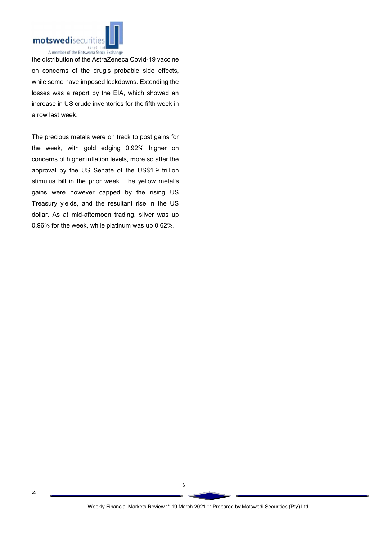

the distribution of the AstraZeneca Covid-19 vaccine on concerns of the drug's probable side effects, while some have imposed lockdowns. Extending the losses was a report by the EIA, which showed an increase in US crude inventories for the fifth week in a row last week.

The precious metals were on track to post gains for the week, with gold edging 0.92% higher on concerns of higher inflation levels, more so after the approval by the US Senate of the US\$1.9 trillion stimulus bill in the prior week. The yellow metal's gains were however capped by the rising US Treasury yields, and the resultant rise in the US dollar. As at mid-afternoon trading, silver was up 0.96% for the week, while platinum was up 0.62%.

6